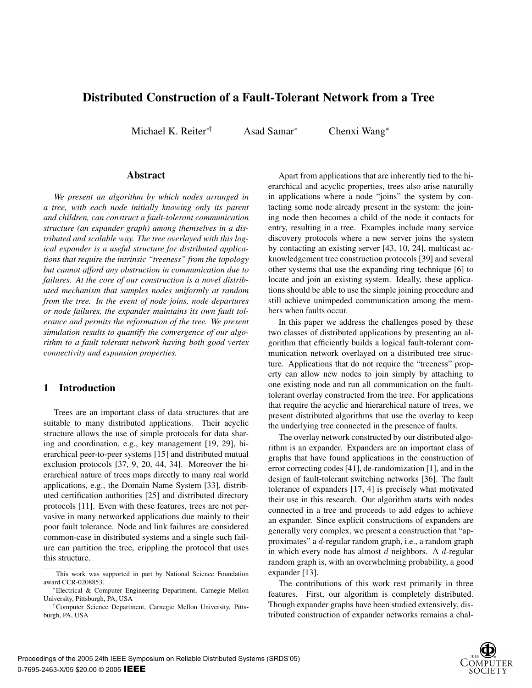# **Distributed Construction of a Fault-Tolerant Network from a Tree**

Michael K. Reiter<sup>\*†</sup> Asad Samar<sup>∗</sup> Chenxi Wang<sup>∗</sup>

# **Abstract**

*We present an algorithm by which nodes arranged in a tree, with each node initially knowing only its parent and children, can construct a fault-tolerant communication structure (an expander graph) among themselves in a distributed and scalable way. The tree overlayed with this logical expander is a useful structure for distributed applications that require the intrinsic "treeness" from the topology but cannot afford any obstruction in communication due to failures. At the core of our construction is a novel distributed mechanism that samples nodes uniformly at random from the tree. In the event of node joins, node departures or node failures, the expander maintains its own fault tolerance and permits the reformation of the tree. We present simulation results to quantify the convergence of our algorithm to a fault tolerant network having both good vertex connectivity and expansion properties.*

# **1 Introduction**

Trees are an important class of data structures that are suitable to many distributed applications. Their acyclic structure allows the use of simple protocols for data sharing and coordination, e.g., key management [19, 29], hierarchical peer-to-peer systems [15] and distributed mutual exclusion protocols [37, 9, 20, 44, 34]. Moreover the hierarchical nature of trees maps directly to many real world applications, e.g., the Domain Name System [33], distributed certification authorities [25] and distributed directory protocols [11]. Even with these features, trees are not pervasive in many networked applications due mainly to their poor fault tolerance. Node and link failures are considered common-case in distributed systems and a single such failure can partition the tree, crippling the protocol that uses this structure.

Apart from applications that are inherently tied to the hierarchical and acyclic properties, trees also arise naturally in applications where a node "joins" the system by contacting some node already present in the system: the joining node then becomes a child of the node it contacts for entry, resulting in a tree. Examples include many service discovery protocols where a new server joins the system by contacting an existing server [43, 10, 24], multicast acknowledgement tree construction protocols [39] and several other systems that use the expanding ring technique [6] to locate and join an existing system. Ideally, these applications should be able to use the simple joining procedure and still achieve unimpeded communication among the members when faults occur.

In this paper we address the challenges posed by these two classes of distributed applications by presenting an algorithm that efficiently builds a logical fault-tolerant communication network overlayed on a distributed tree structure. Applications that do not require the "treeness" property can allow new nodes to join simply by attaching to one existing node and run all communication on the faulttolerant overlay constructed from the tree. For applications that require the acyclic and hierarchical nature of trees, we present distributed algorithms that use the overlay to keep the underlying tree connected in the presence of faults.

The overlay network constructed by our distributed algorithm is an expander. Expanders are an important class of graphs that have found applications in the construction of error correcting codes [41], de-randomization [1], and in the design of fault-tolerant switching networks [36]. The fault tolerance of expanders [17, 4] is precisely what motivated their use in this research. Our algorithm starts with nodes connected in a tree and proceeds to add edges to achieve an expander. Since explicit constructions of expanders are generally very complex, we present a construction that "approximates" a d-regular random graph, i.e., a random graph in which every node has almost  $d$  neighbors. A  $d$ -regular random graph is, with an overwhelming probability, a good expander [13].

The contributions of this work rest primarily in three features. First, our algorithm is completely distributed. Though expander graphs have been studied extensively, distributed construction of expander networks remains a chal-



This work was supported in part by National Science Foundation award CCR-0208853.

<sup>∗</sup>Electrical & Computer Engineering Department, Carnegie Mellon University, Pittsburgh, PA, USA

<sup>†</sup>Computer Science Department, Carnegie Mellon University, Pittsburgh, PA, USA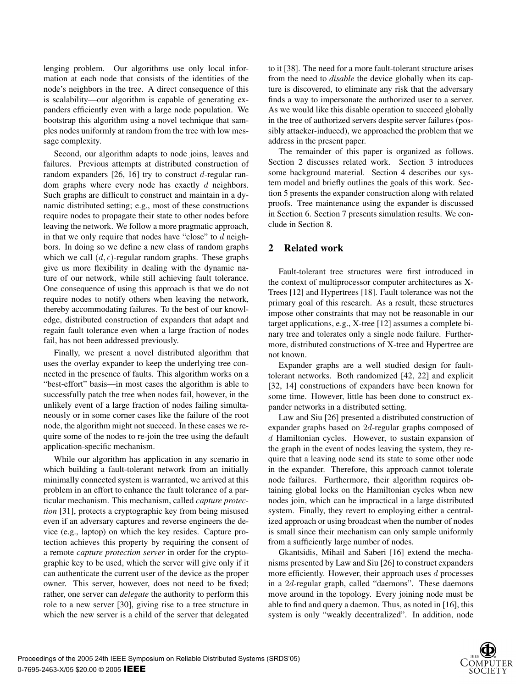lenging problem. Our algorithms use only local information at each node that consists of the identities of the node's neighbors in the tree. A direct consequence of this is scalability—our algorithm is capable of generating expanders efficiently even with a large node population. We bootstrap this algorithm using a novel technique that samples nodes uniformly at random from the tree with low message complexity.

Second, our algorithm adapts to node joins, leaves and failures. Previous attempts at distributed construction of random expanders [26, 16] try to construct  $d$ -regular random graphs where every node has exactly d neighbors. Such graphs are difficult to construct and maintain in a dynamic distributed setting; e.g., most of these constructions require nodes to propagate their state to other nodes before leaving the network. We follow a more pragmatic approach, in that we only require that nodes have "close" to d neighbors. In doing so we define a new class of random graphs which we call  $(d, \epsilon)$ -regular random graphs. These graphs give us more flexibility in dealing with the dynamic nature of our network, while still achieving fault tolerance. One consequence of using this approach is that we do not require nodes to notify others when leaving the network, thereby accommodating failures. To the best of our knowledge, distributed construction of expanders that adapt and regain fault tolerance even when a large fraction of nodes fail, has not been addressed previously.

Finally, we present a novel distributed algorithm that uses the overlay expander to keep the underlying tree connected in the presence of faults. This algorithm works on a "best-effort" basis—in most cases the algorithm is able to successfully patch the tree when nodes fail, however, in the unlikely event of a large fraction of nodes failing simultaneously or in some corner cases like the failure of the root node, the algorithm might not succeed. In these cases we require some of the nodes to re-join the tree using the default application-specific mechanism.

While our algorithm has application in any scenario in which building a fault-tolerant network from an initially minimally connected system is warranted, we arrived at this problem in an effort to enhance the fault tolerance of a particular mechanism. This mechanism, called *capture protection* [31], protects a cryptographic key from being misused even if an adversary captures and reverse engineers the device (e.g., laptop) on which the key resides. Capture protection achieves this property by requiring the consent of a remote *capture protection server* in order for the cryptographic key to be used, which the server will give only if it can authenticate the current user of the device as the proper owner. This server, however, does not need to be fixed; rather, one server can *delegate* the authority to perform this role to a new server [30], giving rise to a tree structure in which the new server is a child of the server that delegated

to it [38]. The need for a more fault-tolerant structure arises from the need to *disable* the device globally when its capture is discovered, to eliminate any risk that the adversary finds a way to impersonate the authorized user to a server. As we would like this disable operation to succeed globally in the tree of authorized servers despite server failures (possibly attacker-induced), we approached the problem that we address in the present paper.

The remainder of this paper is organized as follows. Section 2 discusses related work. Section 3 introduces some background material. Section 4 describes our system model and briefly outlines the goals of this work. Section 5 presents the expander construction along with related proofs. Tree maintenance using the expander is discussed in Section 6. Section 7 presents simulation results. We conclude in Section 8.

# **2 Related work**

Fault-tolerant tree structures were first introduced in the context of multiprocessor computer architectures as X-Trees [12] and Hypertrees [18]. Fault tolerance was not the primary goal of this research. As a result, these structures impose other constraints that may not be reasonable in our target applications, e.g., X-tree [12] assumes a complete binary tree and tolerates only a single node failure. Furthermore, distributed constructions of X-tree and Hypertree are not known.

Expander graphs are a well studied design for faulttolerant networks. Both randomized [42, 22] and explicit [32, 14] constructions of expanders have been known for some time. However, little has been done to construct expander networks in a distributed setting.

Law and Siu [26] presented a distributed construction of expander graphs based on 2d-regular graphs composed of d Hamiltonian cycles. However, to sustain expansion of the graph in the event of nodes leaving the system, they require that a leaving node send its state to some other node in the expander. Therefore, this approach cannot tolerate node failures. Furthermore, their algorithm requires obtaining global locks on the Hamiltonian cycles when new nodes join, which can be impractical in a large distributed system. Finally, they revert to employing either a centralized approach or using broadcast when the number of nodes is small since their mechanism can only sample uniformly from a sufficiently large number of nodes.

Gkantsidis, Mihail and Saberi [16] extend the mechanisms presented by Law and Siu [26] to construct expanders more efficiently. However, their approach uses  $d$  processes in a 2d-regular graph, called "daemons". These daemons move around in the topology. Every joining node must be able to find and query a daemon. Thus, as noted in [16], this system is only "weakly decentralized". In addition, node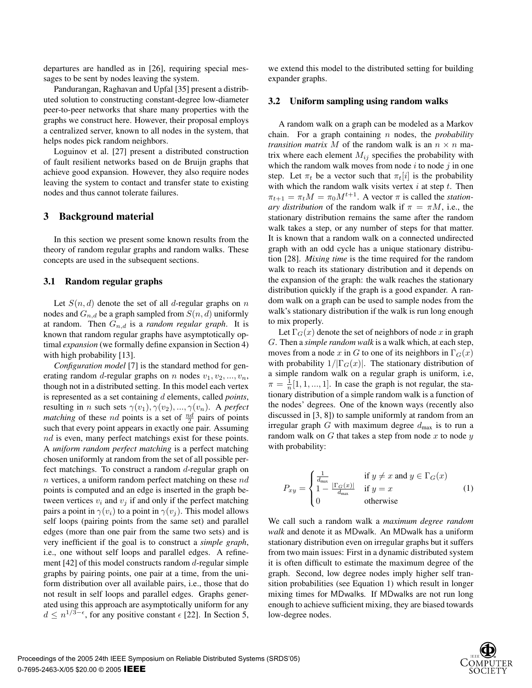departures are handled as in [26], requiring special messages to be sent by nodes leaving the system.

Pandurangan, Raghavan and Upfal [35] present a distributed solution to constructing constant-degree low-diameter peer-to-peer networks that share many properties with the graphs we construct here. However, their proposal employs a centralized server, known to all nodes in the system, that helps nodes pick random neighbors.

Loguinov et al. [27] present a distributed construction of fault resilient networks based on de Bruijn graphs that achieve good expansion. However, they also require nodes leaving the system to contact and transfer state to existing nodes and thus cannot tolerate failures.

# **3 Background material**

In this section we present some known results from the theory of random regular graphs and random walks. These concepts are used in the subsequent sections.

## **3.1 Random regular graphs**

Let  $S(n, d)$  denote the set of all d-regular graphs on n nodes and  $G_{n,d}$  be a graph sampled from  $S(n,d)$  uniformly at random. Then  $G_{n,d}$  is a *random regular graph*. It is known that random regular graphs have asymptotically optimal *expansion* (we formally define expansion in Section 4) with high probability [13].

*Configuration model* [7] is the standard method for generating random d-regular graphs on n nodes  $v_1, v_2, ..., v_n$ , though not in a distributed setting. In this model each vertex is represented as a set containing d elements, called *points*, resulting in *n* such sets  $\gamma(v_1), \gamma(v_2), ..., \gamma(v_n)$ . A *perfect matching* of these *nd* points is a set of  $\frac{nd}{2}$  pairs of points such that every point appears in exactly one pair. Assuming nd is even, many perfect matchings exist for these points. A *uniform random perfect matching* is a perfect matching chosen uniformly at random from the set of all possible perfect matchings. To construct a random d-regular graph on  $n$  vertices, a uniform random perfect matching on these  $nd$ points is computed and an edge is inserted in the graph between vertices  $v_i$  and  $v_j$  if and only if the perfect matching pairs a point in  $\gamma(v_i)$  to a point in  $\gamma(v_j)$ . This model allows self loops (pairing points from the same set) and parallel edges (more than one pair from the same two sets) and is very inefficient if the goal is to construct a *simple graph*, i.e., one without self loops and parallel edges. A refinement  $[42]$  of this model constructs random d-regular simple graphs by pairing points, one pair at a time, from the uniform distribution over all available pairs, i.e., those that do not result in self loops and parallel edges. Graphs generated using this approach are asymptotically uniform for any  $d \leq n^{1/3-\epsilon}$ , for any positive constant  $\epsilon$  [22]. In Section 5, we extend this model to the distributed setting for building expander graphs.

### **3.2 Uniform sampling using random walks**

A random walk on a graph can be modeled as a Markov chain. For a graph containing n nodes, the *probability transition matrix* M of the random walk is an  $n \times n$  matrix where each element  $M_{ij}$  specifies the probability with which the random walk moves from node  $i$  to node  $j$  in one step. Let  $\pi_t$  be a vector such that  $\pi_t[i]$  is the probability with which the random walk visits vertex  $i$  at step  $t$ . Then  $\pi_{t+1} = \pi_t M = \pi_0 M^{t+1}$ . A vector  $\pi$  is called the *stationary distribution* of the random walk if  $\pi = \pi M$ , i.e., the stationary distribution remains the same after the random walk takes a step, or any number of steps for that matter. It is known that a random walk on a connected undirected graph with an odd cycle has a unique stationary distribution [28]. *Mixing time* is the time required for the random walk to reach its stationary distribution and it depends on the expansion of the graph: the walk reaches the stationary distribution quickly if the graph is a good expander. A random walk on a graph can be used to sample nodes from the walk's stationary distribution if the walk is run long enough to mix properly.

Let  $\Gamma_G(x)$  denote the set of neighbors of node x in graph G. Then a *simple random walk* is a walk which, at each step, moves from a node x in G to one of its neighbors in  $\Gamma$ <sub>G</sub> $(x)$ with probability  $1/|\Gamma_G(x)|$ . The stationary distribution of a simple random walk on a regular graph is uniform, i.e,  $\pi = \frac{1}{n}[1, 1, ..., 1]$ . In case the graph is not regular, the stationary distribution of a simple random walk is a function of tionary distribution of a simple random walk is a function of the nodes' degrees. One of the known ways (recently also discussed in [3, 8]) to sample uniformly at random from an irregular graph  $G$  with maximum degree  $d_{\text{max}}$  is to run a random walk on  $G$  that takes a step from node  $x$  to node  $y$ with probability:

$$
P_{xy} = \begin{cases} \frac{1}{d_{\text{max}}} & \text{if } y \neq x \text{ and } y \in \Gamma_G(x) \\ 1 - \frac{|\Gamma_G(x)|}{d_{\text{max}}} & \text{if } y = x \\ 0 & \text{otherwise} \end{cases}
$$
(1)

We call such a random walk a *maximum degree random walk* and denote it as MDwalk. An MDwalk has a uniform stationary distribution even on irregular graphs but it suffers from two main issues: First in a dynamic distributed system it is often difficult to estimate the maximum degree of the graph. Second, low degree nodes imply higher self transition probabilities (see Equation 1) which result in longer mixing times for MDwalks. If MDwalks are not run long enough to achieve sufficient mixing, they are biased towards low-degree nodes.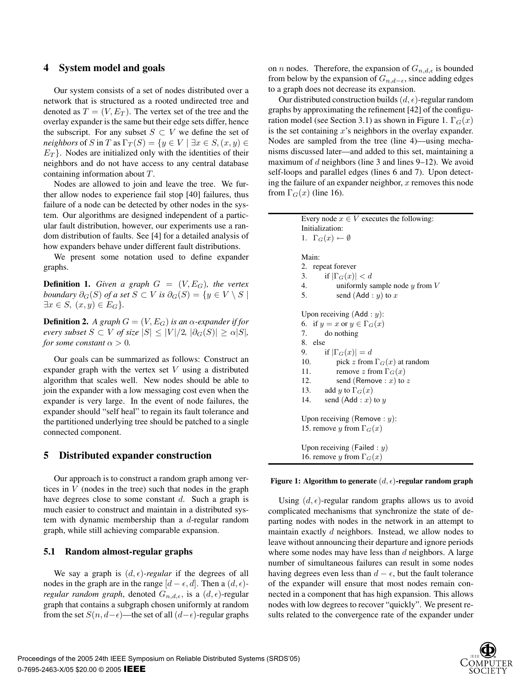# **4 System model and goals**

Our system consists of a set of nodes distributed over a network that is structured as a rooted undirected tree and denoted as  $T = (V, E_T)$ . The vertex set of the tree and the overlay expander is the same but their edge sets differ, hence the subscript. For any subset  $S \subset V$  we define the set of *neighbors* of S in T as  $\Gamma_T(S) = \{y \in V \mid \exists x \in S, (x, y) \in$  $E_T$ . Nodes are initialized only with the identities of their neighbors and do not have access to any central database containing information about T.

Nodes are allowed to join and leave the tree. We further allow nodes to experience fail stop [40] failures, thus failure of a node can be detected by other nodes in the system. Our algorithms are designed independent of a particular fault distribution, however, our experiments use a random distribution of faults. See [4] for a detailed analysis of how expanders behave under different fault distributions.

We present some notation used to define expander graphs.

**Definition 1.** *Given a graph*  $G = (V, E_G)$ *, the vertex boundary*  $\partial_G(S)$  *of a set*  $S \subset V$  *is*  $\partial_G(S) = \{y \in V \setminus S \mid$  $\exists x \in S, (x, y) \in E_G$ .

**Definition 2.** *A graph*  $G = (V, E_G)$  *is an*  $\alpha$ *-expander if for every subset*  $S \subset V$  *of size*  $|S| \leq |V|/2$ ,  $|\partial_G(S)| \geq \alpha |S|$ , *for some constant*  $\alpha > 0$ *.* 

Our goals can be summarized as follows: Construct an expander graph with the vertex set  $V$  using a distributed algorithm that scales well. New nodes should be able to join the expander with a low messaging cost even when the expander is very large. In the event of node failures, the expander should "self heal" to regain its fault tolerance and the partitioned underlying tree should be patched to a single connected component.

# **5 Distributed expander construction**

Our approach is to construct a random graph among vertices in  $V$  (nodes in the tree) such that nodes in the graph have degrees close to some constant  $d$ . Such a graph is much easier to construct and maintain in a distributed system with dynamic membership than a  $d$ -regular random graph, while still achieving comparable expansion.

## **5.1 Random almost-regular graphs**

We say a graph is  $(d, \epsilon)$ -regular if the degrees of all nodes in the graph are in the range  $[d - \epsilon, d]$ . Then a  $(d, \epsilon)$ *regular random graph*, denoted  $G_{n,d,\epsilon}$ , is a  $(d,\epsilon)$ -regular graph that contains a subgraph chosen uniformly at random from the set  $S(n, d-\epsilon)$ —the set of all  $(d-\epsilon)$ -regular graphs

on *n* nodes. Therefore, the expansion of  $G_{n,d,\epsilon}$  is bounded from below by the expansion of  $G_{n,d-\epsilon}$ , since adding edges to a graph does not decrease its expansion.

Our distributed construction builds  $(d, \epsilon)$ -regular random graphs by approximating the refinement [42] of the configuration model (see Section 3.1) as shown in Figure 1.  $\Gamma_G(x)$ is the set containing  $x$ 's neighbors in the overlay expander. Nodes are sampled from the tree (line 4)—using mechanisms discussed later—and added to this set, maintaining a maximum of  $d$  neighbors (line 3 and lines 9–12). We avoid self-loops and parallel edges (lines 6 and 7). Upon detecting the failure of an expander neighbor,  $x$  removes this node from  $\Gamma_G(x)$  (line 16).

```
Every node x \in V executes the following:
Initialization:
1. \Gamma_G(x) \leftarrow \emptysetMain:
2. repeat forever
3. if |\Gamma_G(x)| < d<br>4. uniformly s
              uniformly sample node y from V5. send (Add : y) to x
Upon receiving (Add : y):
6. if y = x or y \in \Gamma_G(x)<br>7 do nothing
         do nothing
8. else
9. if |\Gamma_G(x)| = d<br>10. pick z from
10. pick z from \Gamma_G(x) at random<br>11. remove z from \Gamma_G(x)11. remove z from \Gamma_G(x)<br>12 send (Remove \cdot x) to
12. send (Remove : x) to z<br>13. add y to \Gamma_G(x)13. add y to \Gamma_G(x)<br>14. send (Add : x)
         send (Add : x) to y
Upon receiving (Remove : y):
15. remove y from \Gamma_G(x)Upon receiving (Failed : y)
16. remove y from \Gamma_G(x)
```
#### **Figure 1: Algorithm to generate**  $(d, \epsilon)$ -regular random graph

Using  $(d, \epsilon)$ -regular random graphs allows us to avoid complicated mechanisms that synchronize the state of departing nodes with nodes in the network in an attempt to maintain exactly d neighbors. Instead, we allow nodes to leave without announcing their departure and ignore periods where some nodes may have less than  $d$  neighbors. A large number of simultaneous failures can result in some nodes having degrees even less than  $d - \epsilon$ , but the fault tolerance of the expander will ensure that most nodes remain connected in a component that has high expansion. This allows nodes with low degrees to recover "quickly". We present results related to the convergence rate of the expander under

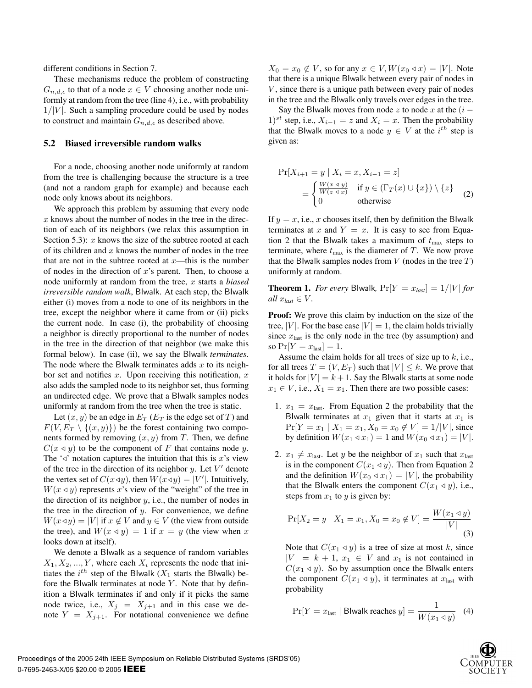different conditions in Section 7.

These mechanisms reduce the problem of constructing  $G_{n,d,\epsilon}$  to that of a node  $x \in V$  choosing another node uniformly at random from the tree (line 4), i.e., with probability  $1/|V|$ . Such a sampling procedure could be used by nodes to construct and maintain  $G_{n,d,\epsilon}$  as described above.

### **5.2 Biased irreversible random walks**

For a node, choosing another node uniformly at random from the tree is challenging because the structure is a tree (and not a random graph for example) and because each node only knows about its neighbors.

We approach this problem by assuming that every node  $x$  knows about the number of nodes in the tree in the direction of each of its neighbors (we relax this assumption in Section 5.3):  $x$  knows the size of the subtree rooted at each of its children and  $x$  knows the number of nodes in the tree that are not in the subtree rooted at  $x$ —this is the number of nodes in the direction of  $x$ 's parent. Then, to choose a node uniformly at random from the tree, x starts a *biased irreversible random walk*, BIwalk. At each step, the BIwalk either (i) moves from a node to one of its neighbors in the tree, except the neighbor where it came from or (ii) picks the current node. In case (i), the probability of choosing a neighbor is directly proportional to the number of nodes in the tree in the direction of that neighbor (we make this formal below). In case (ii), we say the BIwalk *terminates*. The node where the Blwalk terminates adds  $x$  to its neighbor set and notifies  $x$ . Upon receiving this notification,  $x$ also adds the sampled node to its neighbor set, thus forming an undirected edge. We prove that a BIwalk samples nodes uniformly at random from the tree when the tree is static.

Let  $(x, y)$  be an edge in  $E_T$  ( $E_T$  is the edge set of T) and  $F(V,E_T \setminus \{(x,y)\})$  be the forest containing two components formed by removing  $(x, y)$  from T. Then, we define  $C(x \triangleleft y)$  to be the component of F that contains node y. The ' $\triangleleft$ ' notation captures the intuition that this is x's view of the tree in the direction of its neighbor  $y$ . Let  $V'$  denote the vertex set of  $C(x \triangleleft y)$ , then  $W(x \triangleleft y) = |V'|$ . Intuitively,<br> $W(x \triangleleft y)$  represents x's view of the "weight" of the tree in  $W(x \triangleleft y)$  represents x's view of the "weight" of the tree in the direction of its neighbor  $y$ , i.e., the number of nodes in the tree in the direction of  $y$ . For convenience, we define  $W(x \triangleleft y) = |V|$  if  $x \notin V$  and  $y \in V$  (the view from outside<br>the tree) and  $W(x \triangleleft y) = 1$  if  $x = y$  (the view when x the tree), and  $W(x \triangleleft y) = 1$  if  $x = y$  (the view when x looks down at itself).

We denote a BIwalk as a sequence of random variables  $X_1, X_2, ..., Y$ , where each  $X_i$  represents the node that initiates the  $i^{th}$  step of the Blwalk  $(X_1$  starts the Blwalk) before the Blwalk terminates at node  $Y$ . Note that by definition a BIwalk terminates if and only if it picks the same node twice, i.e.,  $X_j = X_{j+1}$  and in this case we denote  $Y = X_{j+1}$ . For notational convenience we define

 $X_0 = x_0 \notin V$ , so for any  $x \in V$ ,  $W(x_0 \triangleleft x) = |V|$ . Note that there is a unique BIwalk between every pair of nodes in  $V$ , since there is a unique path between every pair of nodes in the tree and the BIwalk only travels over edges in the tree.

Say the BIwalk moves from node z to node x at the  $(i -$ 1)<sup>st</sup> step, i.e.,  $X_{i-1} = z$  and  $X_i = x$ . Then the probability that the Blwalk moves to a node  $y \in V$  at the  $i^{th}$  step is given as:

$$
\Pr[X_{i+1} = y \mid X_i = x, X_{i-1} = z]
$$
\n
$$
= \begin{cases} \frac{W(x \triangleleft y)}{W(z \triangleleft x)} & \text{if } y \in (\Gamma_T(x) \cup \{x\}) \setminus \{z\} \\ 0 & \text{otherwise} \end{cases} \tag{2}
$$

If  $y = x$ , i.e., x chooses itself, then by definition the Blwalk terminates at x and  $Y = x$ . It is easy to see from Equation 2 that the Blwalk takes a maximum of  $t_{\text{max}}$  steps to terminate, where  $t_{\text{max}}$  is the diameter of T. We now prove that the Blwalk samples nodes from  $V$  (nodes in the tree  $T$ ) uniformly at random.

**Theorem 1.** *For every* Blwalk,  $Pr[Y = x_{last}] = 1/|V|$  *for all*  $x_{\text{last}} \in V$ .

**Proof:** We prove this claim by induction on the size of the tree, |V|. For the base case  $|V| = 1$ , the claim holds trivially since  $x_{\text{last}}$  is the only node in the tree (by assumption) and so  $Pr[Y = x_{\text{last}}] = 1$ .

Assume the claim holds for all trees of size up to  $k$ , i.e., for all trees  $T = (V, E_T)$  such that  $|V| \leq k$ . We prove that it holds for  $|V| = k + 1$ . Say the Blwalk starts at some node  $x_1 \in V$ , i.e.,  $X_1 = x_1$ . Then there are two possible cases:

- 1.  $x_1 = x_{\text{last}}$ . From Equation 2 the probability that the Blwalk terminates at  $x_1$  given that it starts at  $x_1$  is  $Pr[Y = x_1 | X_1 = x_1, X_0 = x_0 \notin V] = 1/|V|$ , since<br>by definition  $W(x_1, x_2) = 1$  and  $W(x_2, x_3) = |V|$ by definition  $W(x_1 \triangleleft x_1) = 1$  and  $W(x_0 \triangleleft x_1) = |V|$ .
- 2.  $x_1 \neq x_{\text{last}}$ . Let y be the neighbor of  $x_1$  such that  $x_{\text{last}}$ <br>is in the component  $C(x, \Delta y)$ . Then from Equation 2 is in the component  $C(x_1 \triangleleft y)$ . Then from Equation 2 and the definition  $W(x_0 \triangleleft x_1) = |V|$ , the probability that the Blwalk enters the component  $C(x_1 \triangleleft y)$ , i.e., steps from  $x_1$  to  $y$  is given by:

$$
\Pr[X_2 = y \mid X_1 = x_1, X_0 = x_0 \notin V] = \frac{W(x_1 \triangleleft y)}{|V|}
$$
\n(3)

Note that  $C(x_1 \triangleleft y)$  is a tree of size at most k, since  $|V| = k + 1$ ,  $x_1 \in V$  and  $x_1$  is not contained in  $C(x_1 \triangleleft y)$ . So by assumption once the Blwalk enters the component  $C(x_1 \triangleleft y)$ , it terminates at  $x_{\text{last}}$  with probability

$$
\Pr[Y = x_{\text{last}} \mid \text{Blwalk reaches } y] = \frac{1}{W(x_1 \triangleleft y)} \quad (4)
$$

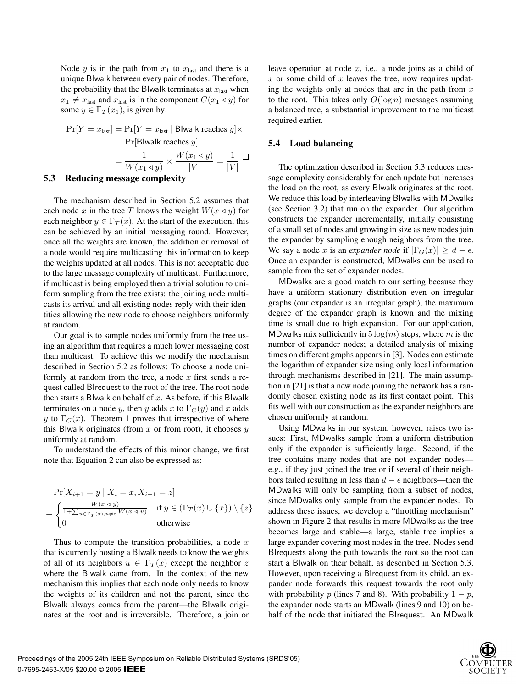Node y is in the path from  $x_1$  to  $x_{\text{last}}$  and there is a unique BIwalk between every pair of nodes. Therefore, the probability that the BIwalk terminates at  $x_{\text{last}}$  when  $x_1 \neq x_{\text{last}}$  and  $x_{\text{last}}$  is in the component  $C(x_1 \triangleleft y)$  for some  $y \in \Gamma_T(x_1)$ , is given by:

$$
Pr[Y = x_{\text{last}}] = Pr[Y = x_{\text{last}} | \text{Blwalk reaches } y] \times
$$

$$
Pr[\text{Blwalk reaches } y]
$$

$$
= \frac{1}{W(x_1 \triangleleft y)} \times \frac{W(x_1 \triangleleft y)}{|V|} = \frac{1}{|V|}
$$
  
**5.3 Reducing message complexity**

The mechanism described in Section 5.2 assumes that each node x in the tree T knows the weight  $W(x \triangleleft y)$  for each neighbor  $y \in \Gamma_T(x)$ . At the start of the execution, this can be achieved by an initial messaging round. However, once all the weights are known, the addition or removal of a node would require multicasting this information to keep the weights updated at all nodes. This is not acceptable due to the large message complexity of multicast. Furthermore, if multicast is being employed then a trivial solution to uniform sampling from the tree exists: the joining node multicasts its arrival and all existing nodes reply with their identities allowing the new node to choose neighbors uniformly at random.

Our goal is to sample nodes uniformly from the tree using an algorithm that requires a much lower messaging cost than multicast. To achieve this we modify the mechanism described in Section 5.2 as follows: To choose a node uniformly at random from the tree, a node  $x$  first sends a request called BIrequest to the root of the tree. The root node then starts a BIwalk on behalf of  $x$ . As before, if this BIwalk terminates on a node y, then y adds x to  $\Gamma$ <sub>G</sub>(y) and x adds y to  $\Gamma_G(x)$ . Theorem 1 proves that irrespective of where this Blwalk originates (from  $x$  or from root), it chooses  $y$ uniformly at random.

To understand the effects of this minor change, we first note that Equation 2 can also be expressed as:

$$
\Pr[X_{i+1} = y \mid X_i = x, X_{i-1} = z]
$$
\n
$$
= \begin{cases} \frac{W(x \triangleleft y)}{1 + \sum_{u \in \Gamma_T(x), u \neq z} W(x \triangleleft u)} & \text{if } y \in (\Gamma_T(x) \cup \{x\}) \setminus \{z\} \\ 0 & \text{otherwise} \end{cases}
$$

Thus to compute the transition probabilities, a node  $x$ that is currently hosting a BIwalk needs to know the weights of all of its neighbors  $u \in \Gamma_T(x)$  except the neighbor z where the BIwalk came from. In the context of the new mechanism this implies that each node only needs to know the weights of its children and not the parent, since the BIwalk always comes from the parent—the BIwalk originates at the root and is irreversible. Therefore, a join or leave operation at node  $x$ , i.e., a node joins as a child of  $x$  or some child of  $x$  leaves the tree, now requires updating the weights only at nodes that are in the path from  $x$ to the root. This takes only  $O(\log n)$  messages assuming a balanced tree, a substantial improvement to the multicast required earlier.

# **5.4 Load balancing**

The optimization described in Section 5.3 reduces message complexity considerably for each update but increases the load on the root, as every BIwalk originates at the root. We reduce this load by interleaving BIwalks with MDwalks (see Section 3.2) that run on the expander. Our algorithm constructs the expander incrementally, initially consisting of a small set of nodes and growing in size as new nodes join the expander by sampling enough neighbors from the tree. We say a node x is an *expander node* if  $|\Gamma_G(x)| \geq d - \epsilon$ . Once an expander is constructed, MDwalks can be used to sample from the set of expander nodes.

MDwalks are a good match to our setting because they have a uniform stationary distribution even on irregular graphs (our expander is an irregular graph), the maximum degree of the expander graph is known and the mixing time is small due to high expansion. For our application, MDwalks mix sufficiently in  $5 \log(m)$  steps, where m is the number of expander nodes; a detailed analysis of mixing times on different graphs appears in [3]. Nodes can estimate the logarithm of expander size using only local information through mechanisms described in [21]. The main assumption in [21] is that a new node joining the network has a randomly chosen existing node as its first contact point. This fits well with our construction as the expander neighbors are chosen uniformly at random.

 $\frac{1}{1+\sum_{u\in\Gamma_T(x),u\neq z}W(x\triangleleft u)}$  If  $y\in(1\mathcal{F}(x)\cup\{x\})\setminus\{z\}$  address these issues, we develop a "throttling mechanism" Using MDwalks in our system, however, raises two issues: First, MDwalks sample from a uniform distribution only if the expander is sufficiently large. Second, if the tree contains many nodes that are not expander nodes e.g., if they just joined the tree or if several of their neighbors failed resulting in less than  $d - \epsilon$  neighbors—then the MDwalks will only be sampling from a subset of nodes, since MDwalks only sample from the expander nodes. To shown in Figure 2 that results in more MDwalks as the tree becomes large and stable—a large, stable tree implies a large expander covering most nodes in the tree. Nodes send BIrequests along the path towards the root so the root can start a BIwalk on their behalf, as described in Section 5.3. However, upon receiving a BIrequest from its child, an expander node forwards this request towards the root only with probability p (lines 7 and 8). With probability  $1 - p$ , the expander node starts an MDwalk (lines 9 and 10) on behalf of the node that initiated the BIrequest. An MDwalk

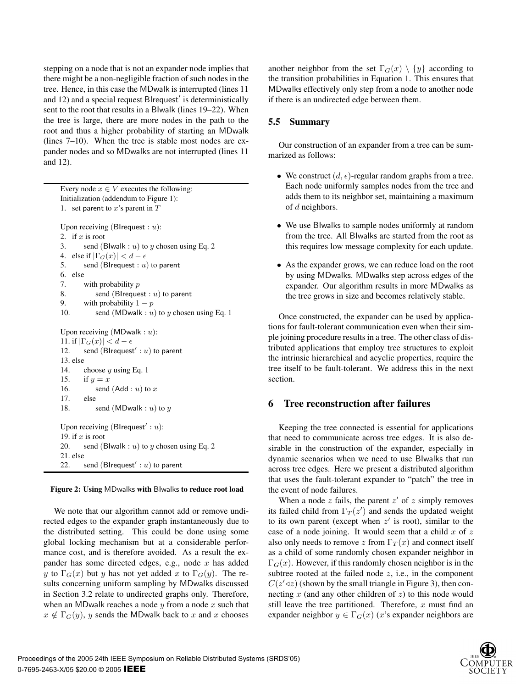stepping on a node that is not an expander node implies that there might be a non-negligible fraction of such nodes in the tree. Hence, in this case the MDwalk is interrupted (lines 11 and 12) and a special request BIrequest' is deterministically sent to the root that results in a BIwalk (lines 19–22). When the tree is large, there are more nodes in the path to the root and thus a higher probability of starting an MDwalk (lines 7–10). When the tree is stable most nodes are expander nodes and so MDwalks are not interrupted (lines 11 and 12).

```
Every node x \in V executes the following:
Initialization (addendum to Figure 1):
1. set parent to x's parent in TUpon receiving (BIrequest : u):
2. if x is root
3. send (BIwalk : u) to y chosen using Eq. 2
4. else if |\Gamma_G(x)| < d - \epsilon<br>5. send (Blrequest : u)
        send (BIrequest : u) to parent
6. else
7. with probability p8. send (BIrequest : u) to parent<br>9. with probability 1 - p9. with probability 1 - p<br>10. send (MDwalk : u)
             send (MDwalk : u) to y chosen using Eq. 1
Upon receiving (MDwalk : u):
11. if |\Gamma_G(x)| < d - \epsilon<br>12. send (Blrequest)
12. send (Blrequest' : u) to parent<br>13. else
13. else
14. choose y using Eq. 1
15. if y = x<br>16. send
16. send (Add : u) to x 17. else
        else
18. send (MDwalk : u) to yUpon receiving (Blrequest': u):<br>19 if x is root
19. if x is root
20. send (Blwalk : u) to y chosen using Eq. 2
21. else
22. send (Blrequest' : u) to parent
```
#### **Figure 2: Using** MDwalks **with** BIwalks **to reduce root load**

We note that our algorithm cannot add or remove undirected edges to the expander graph instantaneously due to the distributed setting. This could be done using some global locking mechanism but at a considerable performance cost, and is therefore avoided. As a result the expander has some directed edges, e.g., node  $x$  has added y to  $\Gamma_G(x)$  but y has not yet added x to  $\Gamma_G(y)$ . The results concerning uniform sampling by MDwalks discussed in Section 3.2 relate to undirected graphs only. Therefore, when an MDwalk reaches a node  $y$  from a node  $x$  such that  $x \notin \Gamma_G(y)$ , y sends the MDwalk back to x and x chooses

another neighbor from the set  $\Gamma_G(x) \setminus \{y\}$  according to the transition probabilities in Equation 1. This ensures that MDwalks effectively only step from a node to another node if there is an undirected edge between them.

# **5.5 Summary**

Our construction of an expander from a tree can be summarized as follows:

- We construct  $(d, \epsilon)$ -regular random graphs from a tree. Each node uniformly samples nodes from the tree and adds them to its neighbor set, maintaining a maximum of d neighbors.
- We use BIwalks to sample nodes uniformly at random from the tree. All BIwalks are started from the root as this requires low message complexity for each update.
- As the expander grows, we can reduce load on the root by using MDwalks. MDwalks step across edges of the expander. Our algorithm results in more MDwalks as the tree grows in size and becomes relatively stable.

Once constructed, the expander can be used by applications for fault-tolerant communication even when their simple joining procedure results in a tree. The other class of distributed applications that employ tree structures to exploit the intrinsic hierarchical and acyclic properties, require the tree itself to be fault-tolerant. We address this in the next section.

## **6 Tree reconstruction after failures**

Keeping the tree connected is essential for applications that need to communicate across tree edges. It is also desirable in the construction of the expander, especially in dynamic scenarios when we need to use BIwalks that run across tree edges. Here we present a distributed algorithm that uses the fault-tolerant expander to "patch" the tree in the event of node failures.

When a node  $z$  fails, the parent  $z'$  of  $z$  simply removes its failed child from  $\Gamma_T(z')$  and sends the updated weight<br>to its own parent (except when  $z'$  is root), similar to the to its own parent (except when  $z'$  is root), similar to the case of a node joining. It would seem that a child  $x$  of  $z$ also only needs to remove z from  $\Gamma_T(x)$  and connect itself as a child of some randomly chosen expander neighbor in  $\Gamma_G(x)$ . However, if this randomly chosen neighbor is in the subtree rooted at the failed node  $z$ , i.e., in the component  $C(z'\triangleleft z)$  (shown by the small triangle in Figure 3), then con-<br>necting x (and any other children of z) to this node would necting  $x$  (and any other children of  $z$ ) to this node would still leave the tree partitioned. Therefore,  $x$  must find an expander neighbor  $y \in \Gamma_G(x)$  (x's expander neighbors are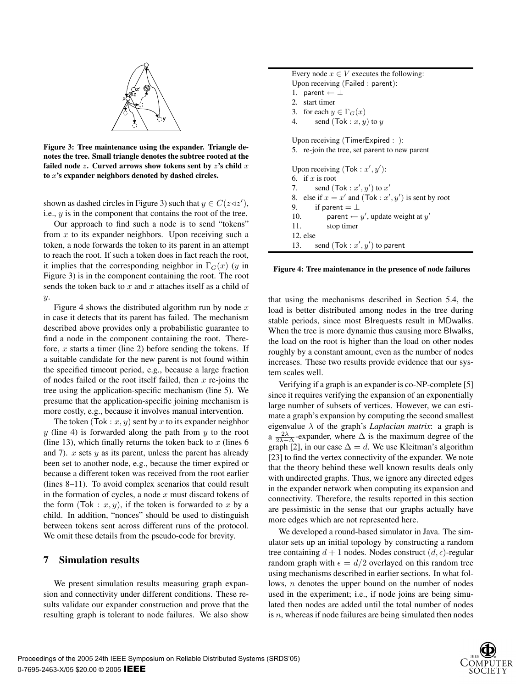

**Figure 3: Tree maintenance using the expander. Triangle denotes the tree. Small triangle denotes the subtree rooted at the failed node** z**. Curved arrows show tokens sent by** z**'s child** x **to** x**'s expander neighbors denoted by dashed circles.**

shown as dashed circles in Figure 3) such that  $y \in C(z \triangleleft z')$ ,<br>i.e.,  $y$  is in the component that contains the root of the tree. i.e., y is in the component that contains the root of the tree.

Our approach to find such a node is to send "tokens" from  $x$  to its expander neighbors. Upon receiving such a token, a node forwards the token to its parent in an attempt to reach the root. If such a token does in fact reach the root, it implies that the corresponding neighbor in  $\Gamma_G(x)$  (y in Figure 3) is in the component containing the root. The root sends the token back to  $x$  and  $x$  attaches itself as a child of y.

Figure 4 shows the distributed algorithm run by node  $x$ in case it detects that its parent has failed. The mechanism described above provides only a probabilistic guarantee to find a node in the component containing the root. Therefore,  $x$  starts a timer (line 2) before sending the tokens. If a suitable candidate for the new parent is not found within the specified timeout period, e.g., because a large fraction of nodes failed or the root itself failed, then  $x$  re-joins the tree using the application-specific mechanism (line 5). We presume that the application-specific joining mechanism is more costly, e.g., because it involves manual intervention.

The token (Tok :  $x, y$ ) sent by x to its expander neighbor  $y$  (line 4) is forwarded along the path from  $y$  to the root (line 13), which finally returns the token back to  $x$  (lines 6) and 7).  $x$  sets  $y$  as its parent, unless the parent has already been set to another node, e.g., because the timer expired or because a different token was received from the root earlier (lines 8–11). To avoid complex scenarios that could result in the formation of cycles, a node  $x$  must discard tokens of the form  $(Tok : x, y)$ , if the token is forwarded to x by a child. In addition, "nonces" should be used to distinguish between tokens sent across different runs of the protocol. We omit these details from the pseudo-code for brevity.

# **7 Simulation results**

We present simulation results measuring graph expansion and connectivity under different conditions. These results validate our expander construction and prove that the resulting graph is tolerant to node failures. We also show

Every node  $x \in V$  executes the following: Upon receiving (Failed : parent): 1. parent  $\leftarrow \perp$ 2. start timer 3. for each  $y \in \Gamma_G(x)$ <br>4. send (Tok: x, y send (Tok :  $x, y$ ) to  $y$ Upon receiving (TimerExpired : ): 5. re-join the tree, set parent to new parent Upon receiving  $(Tok : x', y')$ : 6. if  $x$  is root 7. send  $(Tok : x', y')$  to  $x'$ <br>8. else if  $x = x'$  and  $(Tok : x')$ 8. else if  $x = x'$  and  $(Tok : x', y')$  is sent by root 9. if parent =  $\perp$ <br>10. parent  $\leftarrow$ 10. parent  $\leftarrow$  y', update weight at y' 11. stop timer 12. else 13. send  $(Tok : x', y')$  to parent

**Figure 4: Tree maintenance in the presence of node failures**

that using the mechanisms described in Section 5.4, the load is better distributed among nodes in the tree during stable periods, since most BIrequests result in MDwalks. When the tree is more dynamic thus causing more BIwalks, the load on the root is higher than the load on other nodes roughly by a constant amount, even as the number of nodes increases. These two results provide evidence that our system scales well.

Verifying if a graph is an expander is co-NP-complete [5] since it requires verifying the expansion of an exponentially large number of subsets of vertices. However, we can estimate a graph's expansion by computing the second smallest eigenvalue  $\lambda$  of the graph's *Laplacian matrix*: a graph is  $\frac{2\lambda}{2\lambda + \Delta}$ -expander, where  $\Delta$  is the maximum degree of the graph [21] in our case  $\Delta - d$ . We use Kleitman's algorithm graph [2], in our case  $\Delta = d$ . We use Kleitman's algorithm<br>[23] to find the vertex connectivity of the expander. We note [23] to find the vertex connectivity of the expander. We note that the theory behind these well known results deals only with undirected graphs. Thus, we ignore any directed edges in the expander network when computing its expansion and connectivity. Therefore, the results reported in this section are pessimistic in the sense that our graphs actually have more edges which are not represented here.

We developed a round-based simulator in Java. The simulator sets up an initial topology by constructing a random tree containing  $d + 1$  nodes. Nodes construct  $(d, \epsilon)$ -regular random graph with  $\epsilon = d/2$  overlayed on this random tree using mechanisms described in earlier sections. In what follows, n denotes the upper bound on the number of nodes used in the experiment; i.e., if node joins are being simulated then nodes are added until the total number of nodes is  $n$ , whereas if node failures are being simulated then nodes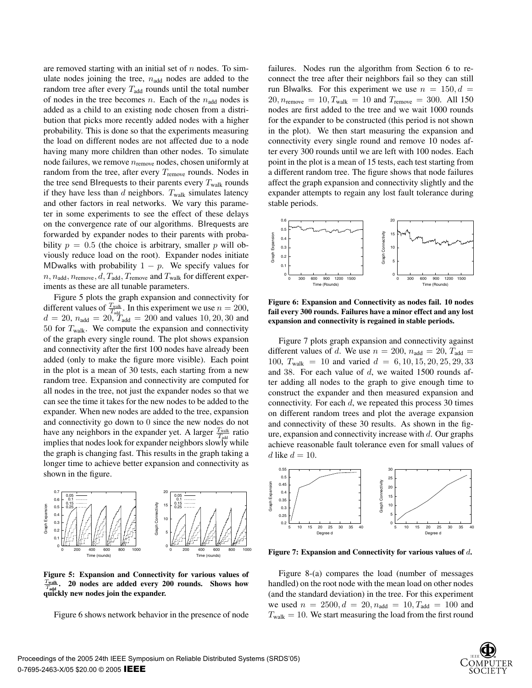are removed starting with an initial set of  $n$  nodes. To simulate nodes joining the tree,  $n_{add}$  nodes are added to the random tree after every  $T_{\text{add}}$  rounds until the total number of nodes in the tree becomes n. Each of the  $n_{\text{add}}$  nodes is added as a child to an existing node chosen from a distribution that picks more recently added nodes with a higher probability. This is done so that the experiments measuring the load on different nodes are not affected due to a node having many more children than other nodes. To simulate node failures, we remove  $n_{\text{remove}}$  nodes, chosen uniformly at random from the tree, after every  $T_{\text{remove}}$  rounds. Nodes in the tree send BI<br>requests to their parents every  $T_{\rm walk}$  rounds if they have less than  $d$  neighbors.  $T_{\text{walk}}$  simulates latency and other factors in real networks. We vary this parameter in some experiments to see the effect of these delays on the convergence rate of our algorithms. BIrequests are forwarded by expander nodes to their parents with probability  $p = 0.5$  (the choice is arbitrary, smaller p will obviously reduce load on the root). Expander nodes initiate MDwalks with probability  $1 - p$ . We specify values for  $n, n_{\text{add}}, n_{\text{remove}}, d, T_{\text{add}}, T_{\text{remove}}$  and  $T_{\text{walk}}$  for different experiments as these are all tunable parameters.

Figure 5 plots the graph expansion and connectivity for different values of  $\frac{T_{\text{walk}}}{T_{\text{add}}}$ . In this experiment we use  $n = 200$ ,  $d = 20$ ,  $n_{\text{total}} = 20^{17}$ ,  $n_{\text{total}} = 200$  and values 10, 20, 30 and  $d = 20$ ,  $n_{\text{add}} = 20$ ,  $T_{\text{add}} = 200$  and values 10, 20, 30 and 50 for  $T_{\text{walk}}$ . We compute the expansion and connectivity of the graph every single round. The plot shows expansion and connectivity after the first 100 nodes have already been added (only to make the figure more visible). Each point in the plot is a mean of 30 tests, each starting from a new random tree. Expansion and connectivity are computed for all nodes in the tree, not just the expander nodes so that we can see the time it takes for the new nodes to be added to the expander. When new nodes are added to the tree, expansion and connectivity go down to 0 since the new nodes do not have any neighbors in the expander yet. A larger  $\frac{T_{\text{walk}}}{T_{\text{add}}}$  ratio implies that nodes look for expander neighbors slowly while the graph is changing fast. This results in the graph taking a longer time to achieve better expansion and connectivity as shown in the figure.



**Figure 5: Expansion and Connectivity for various values of**  $\frac{T_{\text{walk}}}{T_{\text{add}}}$  **. 20** nodes are added every 200 rounds. Shows how **quickly new nodes join the expander.**

Figure 6 shows network behavior in the presence of node

failures. Nodes run the algorithm from Section 6 to reconnect the tree after their neighbors fail so they can still run Blwalks. For this experiment we use  $n = 150, d =$  $20$ ,  $n_{\text{remove}} = 10$ ,  $T_{\text{walk}} = 10$  and  $T_{\text{remove}} = 300$ . All 150 nodes are first added to the tree and we wait 1000 rounds for the expander to be constructed (this period is not shown in the plot). We then start measuring the expansion and connectivity every single round and remove 10 nodes after every 300 rounds until we are left with 100 nodes. Each point in the plot is a mean of 15 tests, each test starting from a different random tree. The figure shows that node failures affect the graph expansion and connectivity slightly and the expander attempts to regain any lost fault tolerance during stable periods.



**Figure 6: Expansion and Connectivity as nodes fail. 10 nodes fail every 300 rounds. Failures have a minor effect and any lost expansion and connectivity is regained in stable periods.**

Figure 7 plots graph expansion and connectivity against different values of d. We use  $n = 200$ ,  $n_{\text{add}} = 20$ ,  $T_{\text{add}} =$ 100,  $T_{\text{walk}} = 10$  and varied  $d = 6, 10, 15, 20, 25, 29, 33$ and 38. For each value of  $d$ , we waited 1500 rounds after adding all nodes to the graph to give enough time to construct the expander and then measured expansion and connectivity. For each d, we repeated this process 30 times on different random trees and plot the average expansion and connectivity of these 30 results. As shown in the figure, expansion and connectivity increase with  $d$ . Our graphs achieve reasonable fault tolerance even for small values of d like  $d = 10$ .



**Figure 7: Expansion and Connectivity for various values of** d**.**

Figure 8-(a) compares the load (number of messages handled) on the root node with the mean load on other nodes (and the standard deviation) in the tree. For this experiment we used  $n = 2500, d = 20, n_{add} = 10, T_{add} = 100$  and  $T_{\text{walk}} = 10$ . We start measuring the load from the first round

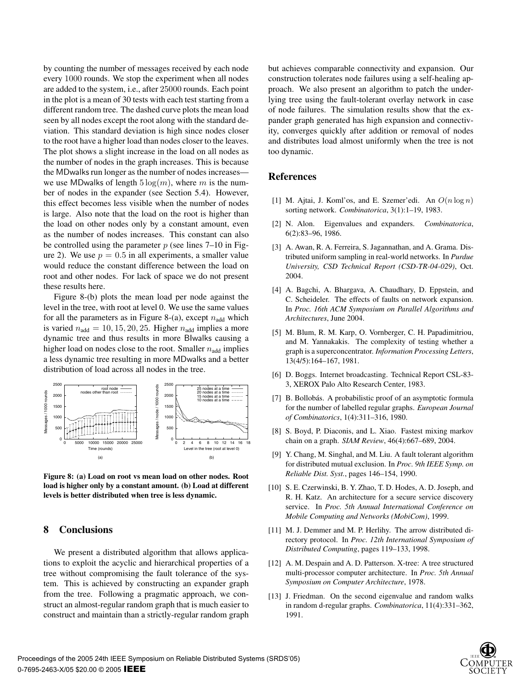by counting the number of messages received by each node every 1000 rounds. We stop the experiment when all nodes are added to the system, i.e., after 25000 rounds. Each point in the plot is a mean of 30 tests with each test starting from a different random tree. The dashed curve plots the mean load seen by all nodes except the root along with the standard deviation. This standard deviation is high since nodes closer to the root have a higher load than nodes closer to the leaves. The plot shows a slight increase in the load on all nodes as the number of nodes in the graph increases. This is because the MDwalks run longer as the number of nodes increaseswe use MDwalks of length  $5 \log(m)$ , where m is the number of nodes in the expander (see Section 5.4). However, this effect becomes less visible when the number of nodes is large. Also note that the load on the root is higher than the load on other nodes only by a constant amount, even as the number of nodes increases. This constant can also be controlled using the parameter  $p$  (see lines 7–10 in Figure 2). We use  $p = 0.5$  in all experiments, a smaller value would reduce the constant difference between the load on root and other nodes. For lack of space we do not present these results here.

Figure 8-(b) plots the mean load per node against the level in the tree, with root at level 0. We use the same values for all the parameters as in Figure 8-(a), except  $n_{\text{add}}$  which is varied  $n_{\text{add}} = 10, 15, 20, 25$ . Higher  $n_{\text{add}}$  implies a more dynamic tree and thus results in more BIwalks causing a higher load on nodes close to the root. Smaller  $n_{\text{add}}$  implies a less dynamic tree resulting in more MDwalks and a better distribution of load across all nodes in the tree.



**Figure 8: (a) Load on root vs mean load on other nodes. Root load is higher only by a constant amount. (b) Load at different levels is better distributed when tree is less dynamic.**

# **8 Conclusions**

We present a distributed algorithm that allows applications to exploit the acyclic and hierarchical properties of a tree without compromising the fault tolerance of the system. This is achieved by constructing an expander graph from the tree. Following a pragmatic approach, we construct an almost-regular random graph that is much easier to construct and maintain than a strictly-regular random graph but achieves comparable connectivity and expansion. Our construction tolerates node failures using a self-healing approach. We also present an algorithm to patch the underlying tree using the fault-tolerant overlay network in case of node failures. The simulation results show that the expander graph generated has high expansion and connectivity, converges quickly after addition or removal of nodes and distributes load almost uniformly when the tree is not too dynamic.

# **References**

- [1] M. Ajtai, J. Koml'os, and E. Szemer'edi. An  $O(n \log n)$ sorting network. *Combinatorica*, 3(1):1–19, 1983.
- [2] N. Alon. Eigenvalues and expanders. *Combinatorica*, 6(2):83–96, 1986.
- [3] A. Awan, R. A. Ferreira, S. Jagannathan, and A. Grama. Distributed uniform sampling in real-world networks. In *Purdue University, CSD Technical Report (CSD-TR-04-029)*, Oct. 2004.
- [4] A. Bagchi, A. Bhargava, A. Chaudhary, D. Eppstein, and C. Scheideler. The effects of faults on network expansion. In *Proc. 16th ACM Symposium on Parallel Algorithms and Architectures*, June 2004.
- [5] M. Blum, R. M. Karp, O. Vornberger, C. H. Papadimitriou, and M. Yannakakis. The complexity of testing whether a graph is a superconcentrator. *Information Processing Letters*, 13(4/5):164–167, 1981.
- [6] D. Boggs. Internet broadcasting. Technical Report CSL-83- 3, XEROX Palo Alto Research Center, 1983.
- [7] B. Bollobás. A probabilistic proof of an asymptotic formula for the number of labelled regular graphs. *European Journal of Combinatorics*, 1(4):311–316, 1980.
- [8] S. Boyd, P. Diaconis, and L. Xiao. Fastest mixing markov chain on a graph. *SIAM Review*, 46(4):667–689, 2004.
- [9] Y. Chang, M. Singhal, and M. Liu. A fault tolerant algorithm for distributed mutual exclusion. In *Proc. 9th IEEE Symp. on Reliable Dist. Syst.*, pages 146–154, 1990.
- [10] S. E. Czerwinski, B. Y. Zhao, T. D. Hodes, A. D. Joseph, and R. H. Katz. An architecture for a secure service discovery service. In *Proc. 5th Annual International Conference on Mobile Computing and Networks (MobiCom)*, 1999.
- [11] M. J. Demmer and M. P. Herlihy. The arrow distributed directory protocol. In *Proc. 12th International Symposium of Distributed Computing*, pages 119–133, 1998.
- [12] A. M. Despain and A. D. Patterson. X-tree: A tree structured multi-processor computer architecture. In *Proc. 5th Annual Symposium on Computer Architecture*, 1978.
- [13] J. Friedman. On the second eigenvalue and random walks in random d-regular graphs. *Combinatorica*, 11(4):331–362, 1991.